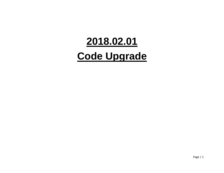# **2018.02.01 Code Upgrade**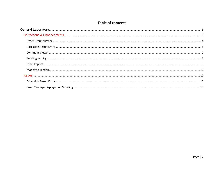#### **Table of contents**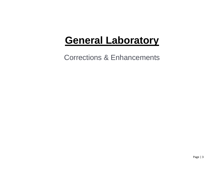# <span id="page-2-0"></span>**General Laboratory**

<span id="page-2-1"></span>Corrections & Enhancements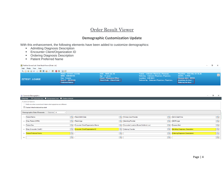# Order Result Viewer

#### **Demographic Customization Update**

<span id="page-3-0"></span>With this enhancement, the following elements have been added to customize demographics:

- **Admitting Diagnosis Description**
- **Encounter Client/Organization ID**
- Ordering Diagnosis Description
- **Patient Preferred Name**

| PathNet General Lab: Order Result Viewer [Order List] |                                                                                                       |                                                                                                          |                                                                                                                                                    |                                                                                                              | $\qquad \qquad -$ |  |
|-------------------------------------------------------|-------------------------------------------------------------------------------------------------------|----------------------------------------------------------------------------------------------------------|----------------------------------------------------------------------------------------------------------------------------------------------------|--------------------------------------------------------------------------------------------------------------|-------------------|--|
| Task Mode View Help                                   |                                                                                                       |                                                                                                          |                                                                                                                                                    |                                                                                                              |                   |  |
| Adebrieco (Porte                                      |                                                                                                       |                                                                                                          |                                                                                                                                                    |                                                                                                              |                   |  |
| <b>ZZTEST, LOUISE</b>                                 | Name: ZZTEST, LOUISE<br>MRN: 888000736<br>Sex: Female<br>Visit ID: 06220149<br><b>Preferred Name:</b> | DOB: 1999-Jan-18<br>Age: 21 years<br><b>Client: Physicians Office</b><br><b>Client Code: Client Code</b> | Family: Unknown Physician, Physician,<br>Ordering: Unknown Physician, Physician,<br>Location: LAB QEH<br>Ordered by: Unknown Physician, Physician, | Reg/Adm: 2020-Mar-04 15:26<br>ABORh: 0 POS<br>Disease alert: MRSA<br>Admitting dx desc:<br>Ordering dx desc: |                   |  |

| $\Box$<br>Customize Demographics<br>$\overline{\phantom{0}}$<br>Display: O Columnar view Compressed view C Restore defaults |                                                                |              |                                            |    |                                         |  |                                             |                         |  |  |  |
|-----------------------------------------------------------------------------------------------------------------------------|----------------------------------------------------------------|--------------|--------------------------------------------|----|-----------------------------------------|--|---------------------------------------------|-------------------------|--|--|--|
|                                                                                                                             | Customize Options                                              |              |                                            |    |                                         |  |                                             |                         |  |  |  |
|                                                                                                                             | Notify me when current and historic demographics are different |              |                                            |    |                                         |  |                                             |                         |  |  |  |
|                                                                                                                             | ○ Display linked relationships alert                           |              |                                            |    |                                         |  |                                             |                         |  |  |  |
| <b>Demographic Data Elements</b><br>Columns: 4<br>$\sim$                                                                    |                                                                |              |                                            |    |                                         |  |                                             |                         |  |  |  |
|                                                                                                                             | <b>Patient Name</b>                                            |              | Patient Birth Date                         |    | Primary Care Provider                   |  | Admit Date/Time                             |                         |  |  |  |
| 2:                                                                                                                          | Alias, Person (MRN)                                            |              | Patient Age                                |    | <b>Attending Provider</b>               |  | <b>ABORh</b> type                           |                         |  |  |  |
| $\overline{3}$                                                                                                              | Patient Sex                                                    |              | Encounter Client/Organization Name         |    | Encounter Location (Nurse Unit/Amb Loc) |  | <b>Q</b> Disease Alert                      |                         |  |  |  |
|                                                                                                                             | Alias, Encounter (VisitID)                                     |              | <b>Q.</b> Encounter Client/Organization ID |    | <b>Q</b> Ordering Provider              |  | Admitting Diagnosis, Description            | Q                       |  |  |  |
| 5 <sub>1</sub>                                                                                                              | <b>Patient Preferred Name</b>                                  | $\mathbf{Q}$ |                                            | Q. |                                         |  | <b>Q   Ordering Diagnosis (Description)</b> | $\mathbf{Q}_\mathbf{a}$ |  |  |  |
|                                                                                                                             |                                                                |              |                                            |    |                                         |  |                                             | Q.                      |  |  |  |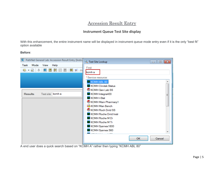# Accession Result Entry

#### **Instrument Queue Test Site display**

<span id="page-4-0"></span>With this enhancement, the entire instrument name will be displayed in instrument queue mode entry even if it is the only "best fit" option available

#### **Before**:

| R PathNet General Lab: Accession Result Entry [Instru                                 |                                                                                                                                                                                                                                                                                                                                                                                     |
|---------------------------------------------------------------------------------------|-------------------------------------------------------------------------------------------------------------------------------------------------------------------------------------------------------------------------------------------------------------------------------------------------------------------------------------------------------------------------------------|
| Mode<br>View<br>Task<br>Help<br>링 -<br>e<br>側の<br>Test site: kcmh a<br><b>Results</b> | Test Site Lookup<br>$\Box$ $\Box$ $\mathbf{x}$<br>Find:<br>kcmh a<br>* Service resource:<br>KCMH ABL 80<br><b>KCMH</b> Clinitek Status<br>KCMH Gen Lab SS<br>KCMH Integra400<br>Ξ<br><b>KCMHI-Stat</b><br>KCMH Main Pharmacy1<br><b>ic</b> KCMH Man Bench<br>KCMH Roch Dnld SS<br>KCMH Roche Dnld Instr<br>KCMH Roche M Di<br>KCMH Roche M Tr<br>KCMH Sysmex1800<br>KCMH Sysmex 560 |
|                                                                                       | <b>OK</b><br>Cancel                                                                                                                                                                                                                                                                                                                                                                 |

A end user does a quick search based on "KCMH A" rather then typing "KCMH ABL 80"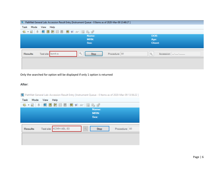|                | K PathNet General Lab: Accession Result Entry [Instrument Queue - 0 Items as of 2020-Mar-09 13:48:17 ] |                                                      |
|----------------|--------------------------------------------------------------------------------------------------------|------------------------------------------------------|
| Mode<br>Task   | View Help                                                                                              |                                                      |
|                | 5 · 5   1   0   8   8   8   8   9   4   5   5   8                                                      |                                                      |
|                | Name:<br><b>MRN:</b><br>Sex:                                                                           | DOB:<br>Age:<br><b>Client:</b>                       |
| <b>Results</b> | $\mathbb{Q}$<br>Test site: kcmh a<br>Stop                                                              | Procedure: All<br>$\mathbb{Q}$<br>Accession: ------- |
|                |                                                                                                        |                                                      |

Only the searched for option will be displayed if only 1 option is returned

#### **After**:

N PathNet General Lab: Accession Result Entry [Instrument Queue - 0 Items as of 2020-Mar-09 13:56:22 ]

| Task           | Mode View<br>Help                   |                |
|----------------|-------------------------------------|----------------|
|                |                                     |                |
|                | Name:                               |                |
|                | MRN:<br>Sex:                        |                |
|                |                                     |                |
|                |                                     |                |
| <b>Results</b> | Q<br>Test site: KCMH ABL 80<br>Stop | Procedure: All |
|                |                                     |                |
|                |                                     |                |
|                |                                     |                |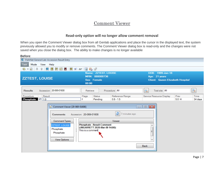## Comment Viewer

#### **Read-only option will no longer allow comment removal**

<span id="page-6-0"></span>When you open the Comment Viewer dialog box from all Genlab applications and place the cursor in the displayed text, the system previously allowed you to modify or remove comments. The Comment Viewer dialog box is read-only and the changes were not saved when you close the dialog box. The ability to make changes is no longer available

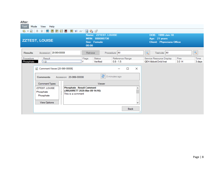**After**:

| Atter:                 |                                                                                                                                                  |  |                         |                                                                |                           |                                |          |                                                                       |                 |                |  |
|------------------------|--------------------------------------------------------------------------------------------------------------------------------------------------|--|-------------------------|----------------------------------------------------------------|---------------------------|--------------------------------|----------|-----------------------------------------------------------------------|-----------------|----------------|--|
| Task                   | View Help<br>Mode                                                                                                                                |  |                         |                                                                |                           |                                |          |                                                                       |                 |                |  |
| 문 - 日                  | ÷<br>L.                                                                                                                                          |  | 日日日日は《ド岛』               |                                                                |                           |                                |          |                                                                       |                 |                |  |
|                        | <b>ZZTEST, LOUISE</b>                                                                                                                            |  |                         | Name: ZZTEST, LOUISE<br>MRN: 888000736<br>Sex: Female<br>00:00 |                           |                                |          | DOB: 1999-Jan-18<br>Age: 21 years<br><b>Client: Physicians Office</b> |                 |                |  |
| <b>Results</b>         | Accession: 20-069-00008                                                                                                                          |  |                         | Retrieve                                                       |                           | Procedure: All                 |          | Test site: All<br>Q                                                   |                 | Q              |  |
| Procedure<br>Phosphate | Result<br> 1.0                                                                                                                                   |  |                         | Flags                                                          | <b>Status</b><br>Verified | Reference Range<br>$0.8 - 1.5$ |          | Service Resource Display<br><b>QEH Abbott Dnld Inst</b>               | Prev<br>$3.0$ H | Time<br>3 days |  |
|                        | Comment Viewer [20-069-00008]<br>e)                                                                                                              |  |                         |                                                                |                           | $\Box$                         | $\times$ |                                                                       |                 |                |  |
|                        | <b>Comments</b>                                                                                                                                  |  | Accession: 20-069-00008 |                                                                | e                         | 0 minutes ago                  |          |                                                                       |                 |                |  |
|                        | <b>Comment Types</b>                                                                                                                             |  |                         |                                                                | Viewer                    |                                |          |                                                                       |                 |                |  |
|                        | <b>Phosphate - Result Comment</b><br><b>ZZTEST, LOUISE</b><br>(JMGARRETT 2020-Mar-09 14:16):<br>Phosphate<br>Ī<br>This is a comment<br>Phosphate |  |                         |                                                                |                           |                                |          |                                                                       |                 |                |  |
|                        | View Options                                                                                                                                     |  |                         |                                                                |                           |                                |          |                                                                       |                 |                |  |
|                        |                                                                                                                                                  |  |                         |                                                                |                           | <b>Back</b>                    | .::      |                                                                       |                 |                |  |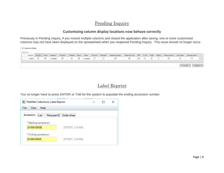# Pending Inquiry

### **Customizing column display locations now behave correctly**

<span id="page-8-0"></span>Previously in Pending Inquiry, if you moved multiple columns and closed the application after saving, one or more customized columns may not have been displayed on the spreadsheet when you reopened Pending Inquiry. This issue should no longer occur.

| Customize Display |                  |              |           |                 |                     |              |        |         |           |                     |                 |              |         |          |          |                     |             |                  |  |
|-------------------|------------------|--------------|-----------|-----------------|---------------------|--------------|--------|---------|-----------|---------------------|-----------------|--------------|---------|----------|----------|---------------------|-------------|------------------|--|
| Columns:          |                  |              |           |                 |                     |              |        |         |           |                     |                 |              |         |          |          |                     |             |                  |  |
| Heading           | <b>Test Site</b> | Priority     | Accession | Procedure       | Collected           | Status       | Name   | Comment | Worksheet | Specimen Location   | Received In-Lab | <b>MRN</b>   | Fin Nbr | Facility | Building | Patient Location    | Dept Status | Storage Location |  |
| Visible           | ☑                | $\checkmark$ | Locked    | $\triangledown$ | $\overline{\smile}$ | $\checkmark$ | Locked |         | ᆸ         | $\overline{\smile}$ | $\checkmark$    | $\checkmark$ | ப       | $\vee$   | 一        | $\overline{\smile}$ |             | 一                |  |
|                   |                  |              |           |                 |                     |              |        |         |           |                     |                 |              |         |          |          |                     |             |                  |  |
|                   |                  |              |           |                 |                     |              |        |         |           |                     |                 |              |         |          |          |                     | $<<$ Left   | Right            |  |

# Label Reprint

<span id="page-8-1"></span>You no longer have to press ENTER or TAB for the system to populate the ending accession number.

| PathNet Collections: Label Reprint |                          |  |  |
|------------------------------------|--------------------------|--|--|
| File:<br>Help<br><b>View</b>       |                          |  |  |
| Accession<br>List                  | Request ID   Order Alias |  |  |
| * Starting accession:              |                          |  |  |
| 20-069-00008                       | <b>ZZTEST, LOUISE</b>    |  |  |
| * Ending accession:                |                          |  |  |
| 20-069-00008                       | ZZTEST, LOUISE           |  |  |
|                                    |                          |  |  |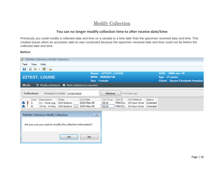# Modify Collection

#### **You can no longer modify collection time to after receive date/time**

<span id="page-9-0"></span>Previously you could modify a collected date and time on a sample to a time later than the specimen received date and time. This created issues when an accession add-on was conducted because the specimen received date and time could not be before the collected date and time.

#### **Before**:

|                    | PathNet Collections: Modify Collections |                                |                                                             |                      |               |                        |               |                                         |
|--------------------|-----------------------------------------|--------------------------------|-------------------------------------------------------------|----------------------|---------------|------------------------|---------------|-----------------------------------------|
| Task<br>View       | Help                                    |                                |                                                             |                      |               |                        |               |                                         |
| <b>H</b> 25 25     |                                         |                                |                                                             |                      |               |                        |               |                                         |
|                    |                                         |                                |                                                             | Name: ZZTEST, LOUISE |               |                        |               | DOB: 1999-Jan-18                        |
|                    | <b>ZZTEST, LOUISE</b>                   |                                |                                                             | MRN: 888000736       |               |                        |               | Age: 21 years                           |
|                    |                                         |                                | Sex: Female                                                 |                      |               |                        |               | <b>Client: Queen Elizabeth Hospital</b> |
| Mode:              |                                         |                                | O Modify collections O Mark collections to recollect        |                      |               |                        |               |                                         |
| <b>Collections</b> |                                         | Accession number: 20-066-00629 |                                                             | Retrieve             |               | 0 minutes ago          |               |                                         |
| Cont               | Description                             | Order                          | <b>Coll Date</b><br>$\ddotsc$                               | Coll Time            | Coll ID       | Coll Method            | <b>Status</b> |                                         |
| A                  | 3 L : Urine Jug                         | U24 Sodium                     | 2020-Mar-06                                                 | 09:24                | <b>RNCOLL</b> | 24 Hour Urine          | Collected     |                                         |
| в                  | 10 mL : Ur Aliq   U24 Sodium []         |                                | 2020-Mar-06                                                 | 09:24                |               | RNCOLL   24 Hour Urine | Collected     |                                         |
|                    | PathNet Collections: Modify Collections |                                | $\Sigma$                                                    |                      |               |                        |               |                                         |
|                    |                                         |                                | Are you sure you want to modify the collection information? |                      |               |                        |               |                                         |
|                    |                                         | Yes                            | No                                                          |                      |               |                        |               |                                         |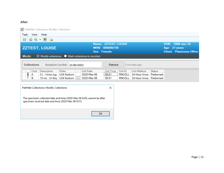#### **After**:

| PathNet Collections: Modify Collections                                                                                                                                  |                                                      |                  |                      |               |                                    |               |                                  |
|--------------------------------------------------------------------------------------------------------------------------------------------------------------------------|------------------------------------------------------|------------------|----------------------|---------------|------------------------------------|---------------|----------------------------------|
| Task<br>View<br>Help                                                                                                                                                     |                                                      |                  |                      |               |                                    |               |                                  |
| 82.82<br>曷                                                                                                                                                               |                                                      |                  |                      |               |                                    |               |                                  |
|                                                                                                                                                                          |                                                      |                  | Name: ZZTEST, LOUISE |               |                                    |               | DOB: 1999-Jan-18                 |
| <b>ZZTEST, LOUISE</b>                                                                                                                                                    |                                                      |                  | MRN: 888000736       |               |                                    |               | Age: 21 years                    |
|                                                                                                                                                                          |                                                      | Sex: Female      |                      |               |                                    |               | <b>Client: Physicians Office</b> |
| Mode:                                                                                                                                                                    | ○ Modify collections ● Mark collections to recollect |                  |                      |               |                                    |               |                                  |
| <b>Collections</b>                                                                                                                                                       | Accession number: 20-066-00003                       |                  | Retrieve             |               | 0 minutes ago                      |               |                                  |
| Cont<br>Description                                                                                                                                                      | Order<br>$\cdots$                                    | <b>Coll Date</b> | Coll Time            | Coll ID       | <b>Coll Method</b>                 | <b>Status</b> |                                  |
| A<br>3 L : Urine Jug                                                                                                                                                     | U24 Sodium                                           | 2020-Mar-06      | 08:51                | <b>RNCOLL</b> | 24 Hour Urine                      | Performed     |                                  |
| Ţ,<br>в                                                                                                                                                                  | 10 mL : Ur Aliq   U24 Sodium                         | 2020-Mar-06      | 08:51                |               | RNCOLL   24 Hour Urine   Performed |               |                                  |
| PathNet Collections: Modify Collections<br>The specimen collected date and time (2020-Mar-06 9:20) cannot be after<br>specimen received date and time (2020-Mar-06 8:51) |                                                      |                  | ×                    |               |                                    |               |                                  |
|                                                                                                                                                                          |                                                      | <b>OK</b>        |                      |               |                                    |               |                                  |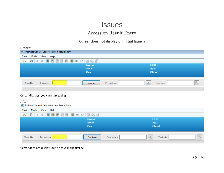# **Issues**

# Accession Result Entry

### **Curser does not display on initial launch**

<span id="page-11-1"></span><span id="page-11-0"></span>

| Before:                       |                                                                                                                                                                                                                                                                                                                                                                                                                                                                                                                                       |                       |            |              |                                |                          |
|-------------------------------|---------------------------------------------------------------------------------------------------------------------------------------------------------------------------------------------------------------------------------------------------------------------------------------------------------------------------------------------------------------------------------------------------------------------------------------------------------------------------------------------------------------------------------------|-----------------------|------------|--------------|--------------------------------|--------------------------|
|                               | R PathNet General Lab: Accession Result Entry                                                                                                                                                                                                                                                                                                                                                                                                                                                                                         |                       |            |              |                                |                          |
| Mode<br>Task                  | View Help                                                                                                                                                                                                                                                                                                                                                                                                                                                                                                                             |                       |            |              |                                |                          |
| 6 - 5 +                       | ↑   ● 图 图 图 图 图 2 2 3 图 编 图                                                                                                                                                                                                                                                                                                                                                                                                                                                                                                           |                       |            |              |                                |                          |
|                               |                                                                                                                                                                                                                                                                                                                                                                                                                                                                                                                                       | Name:<br>MRN:<br>Sex: |            |              | DOB:<br>Age:<br><b>Client:</b> |                          |
| <b>Results</b>                | Accession: [Francescon]                                                                                                                                                                                                                                                                                                                                                                                                                                                                                                               | Retrieve              | Procedure: | Q            | Test site:                     | $\mathcal{Q}_\mathbf{S}$ |
| After:<br>Task                | Curser displays, you can start typing<br>R PathNet General Lab: Accession Result Entry<br>Mode View Help                                                                                                                                                                                                                                                                                                                                                                                                                              |                       |            |              |                                |                          |
| $\bullet$ $\bullet$ $\bullet$ | $\color{red}{\color{blue}\textbf{A}}\color{red}{\color{blue}\textbf{A}}\color{red}{\color{blue}\textbf{B}}\color{red}{\color{blue}\textbf{B}}\color{red}{\color{blue}\textbf{B}}\color{red}{\color{blue}\textbf{B}}\color{red}{\color{blue}\textbf{B}}\color{red}{\color{blue}\textbf{B}}\color{red}{\color{blue}\textbf{C}}\color{red}{\color{blue}\textbf{A}}\color{red}{\color{blue}\textbf{A}}\color{red}{\color{blue}\textbf{A}}\color{red}{\color{blue}\textbf{B}}\color{red}{\color{blue}\textbf{B}}\color{red}{\color{blue}\$ |                       |            |              |                                |                          |
|                               |                                                                                                                                                                                                                                                                                                                                                                                                                                                                                                                                       | Name:<br>MRN:<br>Sex: |            |              | DOB:<br>Age:<br><b>Client:</b> |                          |
| <b>Results</b>                | Accession: The Contract                                                                                                                                                                                                                                                                                                                                                                                                                                                                                                               | Retrieve              | Procedure: | $\mathbb{Q}$ | Test site:                     | $\mathbb{Q}$             |

Curser does not display, but is active in the first cell